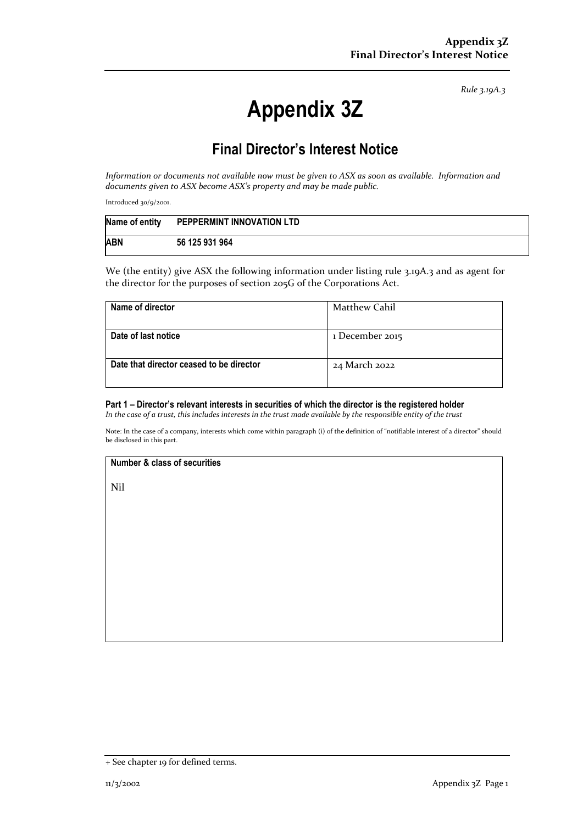*Rule 3.19A.3*

# **Appendix 3Z**

## **Final Director's Interest Notice**

*Information or documents not available now must be given to ASX as soon as available. Information and documents given to ASX become ASX's property and may be made public.*

Introduced 30/9/2001.

| Name of entity | PEPPERMINT INNOVATION LTD |
|----------------|---------------------------|
| <b>ABN</b>     | 56 125 931 964            |

We (the entity) give ASX the following information under listing rule 3.19A.3 and as agent for the director for the purposes of section 205G of the Corporations Act.

| Name of director                         | Matthew Cahil   |
|------------------------------------------|-----------------|
| Date of last notice                      | 1 December 2015 |
| Date that director ceased to be director | 24 March 2022   |

#### **Part 1 – Director's relevant interests in securities of which the director is the registered holder**

*In the case of a trust, this includes interests in the trust made available by the responsible entity of the trust*

Note: In the case of a company, interests which come within paragraph (i) of the definition of "notifiable interest of a director" should be disclosed in this part.

#### **Number & class of securities**

Nil

<sup>+</sup> See chapter 19 for defined terms.